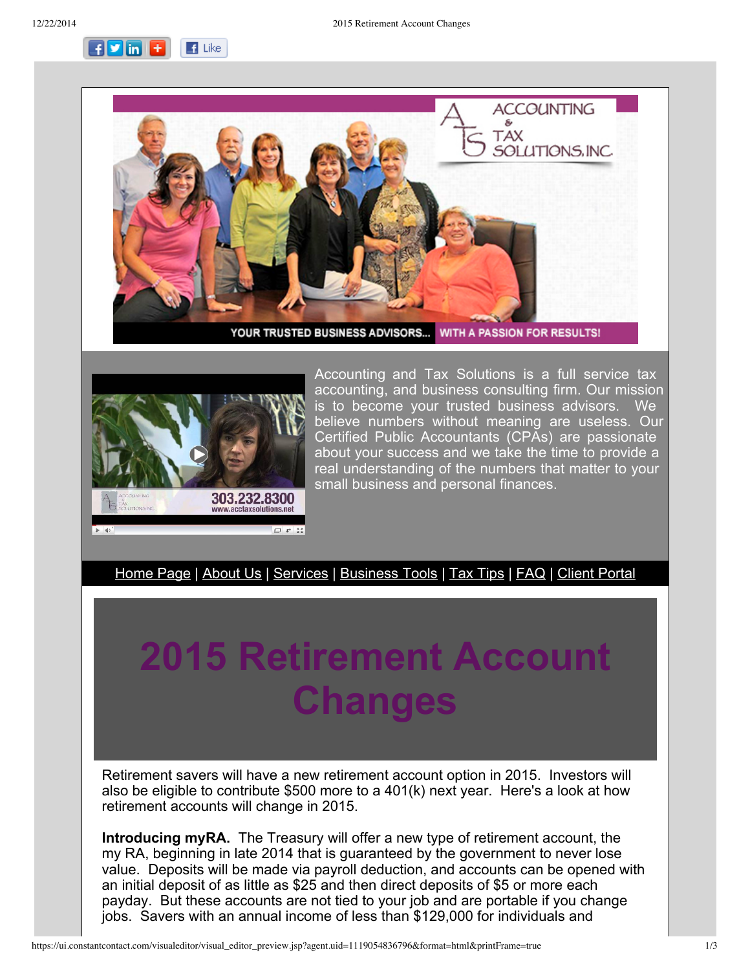$F$  in  $F$  $\blacksquare$  Like





Accounting and Tax Solutions is a full service tax accounting, and business consulting firm. Our mission is to become your trusted business advisors. We believe numbers without meaning are useless. Our Certified Public Accountants (CPAs) are passionate about your success and we take the time to provide a real understanding of the numbers that matter to your small business and personal finances.

[Home](http://r20.rs6.net/tn.jsp?e=00138dfIp2WMQl0JLTh3HSv09OHR_islMi4OL65AO3ekRyjyanOay--_t9t_dR_XylLeDY6LaQSK9u3oCAYd-3hJCSr4wIpvb6naET1SY6D0636qVnWxyrqaw==) Page | [About](http://r20.rs6.net/tn.jsp?e=00138dfIp2WMQl0JLTh3HSv09OHR_islMi4OL65AO3ekRyjyanOay--_t9t_dR_XylLeDY6LaQSK9u3oCAYd-3hJCSr4wIpvb6naET1SY6D062BbYOtu_Jnr2Nai8IqtSAP) Us | [Services](http://r20.rs6.net/tn.jsp?e=00138dfIp2WMQl0JLTh3HSv09OHR_islMi4OL65AO3ekRyjyanOay--_t9t_dR_XylLeDY6LaQSK9u3oCAYd-3hJCSr4wIpvb6naET1SY6D061Uijw9XIh7Ow6MINelI1QX) | [Business](http://r20.rs6.net/tn.jsp?e=00138dfIp2WMQl0JLTh3HSv09OHR_islMi4OL65AO3ekRyjyanOay--_t9t_dR_XylLeDY6LaQSK9u3oCAYd-3hJCSr4wIpvb6naET1SY6D063AWcu2htO53_aW6aBLRgO8NjvpW8RWy1c=) Tools | Tax [Tips](http://r20.rs6.net/tn.jsp?e=00138dfIp2WMQl0JLTh3HSv09OHR_islMi4OL65AO3ekRyjyanOay--_t9t_dR_XylLeDY6LaQSK9u3oCAYd-3hJCSr4wIpvb6naET1SY6D061kXrEoIJMvRnm0j6dri16F) | [FAQ](http://r20.rs6.net/tn.jsp?e=00138dfIp2WMQl0JLTh3HSv09OHR_islMi4OL65AO3ekRyjyanOay--_t9t_dR_XylLeDY6LaQSK9u3oCAYd-3hJCSr4wIpvb6naET1SY6D063ik_RcdlmWTz3ACA3Oaa9j) | Client [Portal](http://r20.rs6.net/tn.jsp?e=00138dfIp2WMQl0JLTh3HSv09OHR_islMi4OL65AO3ekRyjyanOay--_t9t_dR_XylLeDY6LaQSK9u3oCAYd-3hJCSr4wIpvb6naET1SY6D062LnZ_pjXEftNnMCc838kfHVL3o2DXBcyQ=)

## **2015 Retirement Account Changes**

Retirement savers will have a new retirement account option in 2015. Investors will also be eligible to contribute \$500 more to a 401(k) next year. Here's a look at how retirement accounts will change in 2015.

**Introducing myRA.** The Treasury will offer a new type of retirement account, the my RA, beginning in late 2014 that is guaranteed by the government to never lose value. Deposits will be made via payroll deduction, and accounts can be opened with an initial deposit of as little as \$25 and then direct deposits of \$5 or more each payday. But these accounts are not tied to your job and are portable if you change jobs. Savers with an annual income of less than \$129,000 for individuals and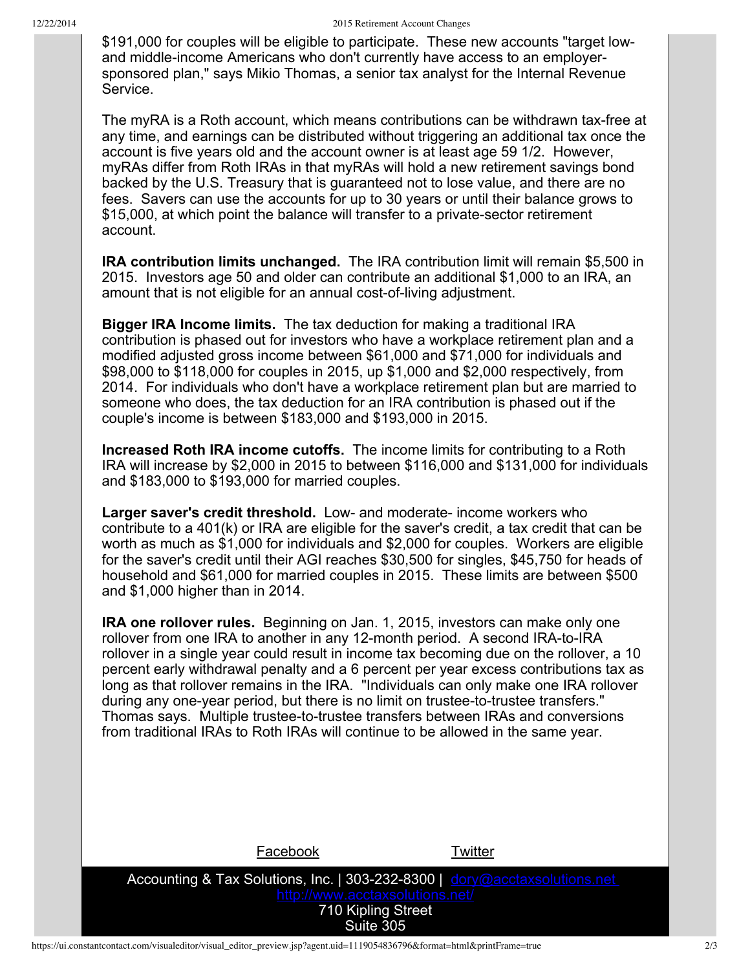\$191,000 for couples will be eligible to participate. These new accounts "target lowand middle-income Americans who don't currently have access to an employersponsored plan," says Mikio Thomas, a senior tax analyst for the Internal Revenue Service.

The myRA is a Roth account, which means contributions can be withdrawn tax-free at any time, and earnings can be distributed without triggering an additional tax once the account is five years old and the account owner is at least age 59 1/2. However, myRAs differ from Roth IRAs in that myRAs will hold a new retirement savings bond backed by the U.S. Treasury that is guaranteed not to lose value, and there are no fees. Savers can use the accounts for up to 30 years or until their balance grows to \$15,000, at which point the balance will transfer to a private-sector retirement account.

**IRA contribution limits unchanged.** The IRA contribution limit will remain \$5,500 in 2015. Investors age 50 and older can contribute an additional \$1,000 to an IRA, an amount that is not eligible for an annual cost-of-living adjustment.

**Bigger IRA Income limits.** The tax deduction for making a traditional IRA contribution is phased out for investors who have a workplace retirement plan and a modified adjusted gross income between \$61,000 and \$71,000 for individuals and \$98,000 to \$118,000 for couples in 2015, up \$1,000 and \$2,000 respectively, from 2014. For individuals who don't have a workplace retirement plan but are married to someone who does, the tax deduction for an IRA contribution is phased out if the couple's income is between \$183,000 and \$193,000 in 2015.

**Increased Roth IRA income cutoffs.** The income limits for contributing to a Roth IRA will increase by \$2,000 in 2015 to between \$116,000 and \$131,000 for individuals and \$183,000 to \$193,000 for married couples.

**Larger saver's credit threshold.** Low- and moderate- income workers who contribute to a 401(k) or IRA are eligible for the saver's credit, a tax credit that can be worth as much as \$1,000 for individuals and \$2,000 for couples. Workers are eligible for the saver's credit until their AGI reaches \$30,500 for singles, \$45,750 for heads of household and \$61,000 for married couples in 2015. These limits are between \$500 and \$1,000 higher than in 2014.

**IRA one rollover rules.** Beginning on Jan. 1, 2015, investors can make only one rollover from one IRA to another in any 12-month period. A second IRA-to-IRA rollover in a single year could result in income tax becoming due on the rollover, a 10 percent early withdrawal penalty and a 6 percent per year excess contributions tax as long as that rollover remains in the IRA. "Individuals can only make one IRA rollover during any one-year period, but there is no limit on trustee-to-trustee transfers." Thomas says. Multiple trustee-to-trustee transfers between IRAs and conversions from traditional IRAs to Roth IRAs will continue to be allowed in the same year.

| Facebook                                                                                                                                         | Twitter |
|--------------------------------------------------------------------------------------------------------------------------------------------------|---------|
| Accounting & Tax Solutions, Inc.   303-232-8300   dory@acctaxsolutions.net<br>http://www.acctaxsolutions.net/<br>710 Kipling Street<br>Suite 305 |         |